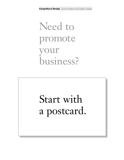## Need to promote our business?

## Start with a postcard.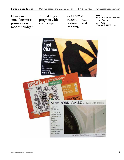**How can a small business promote on a modest budget?** By building a program with small steps.

*Start with a postcard*—with a strong visual concept.

#### **CLIENTS**

Third Avenue Productions: *Last Chance* SweetCopy New York Walls, Inc.

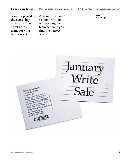A writer provides the extra zing especially if you don't have a name for your business yet.

A "name-storming" session with our writer-designer team can help you find the perfect words.

client SweetCopy

January<br>Write<br>Sale No designer sheets No designer<br>No fluffy towels D fluiry<br>ist words<br>selcopy is offering discounts on<br>self-opy is of the simulad number of<br>the price No fluxy<br>Just words Ust words<br>Surgeony is offering discounts on<br>Surgeony is a limited number to<br>brochure clients and these low prices, a<br>colding clients and these low prices, a<br>colding clients of these low prices, and project copy is often to a limited number To all products east old there prices all products and contract of 2004.<br>exhibit contains and old from prices and post-<br>take advantage of these hamasty of 2004.<br>projects must begin sisting contains of the handler of and the projects must begin in languary of and the the projects in the second second measure Explorated SweetCopy four message<br>"write" words for your message<br>SWEETCOPY: Words for Sale<br>SWEETCOPY.com WEETCOPY.com or coll 212-677-6255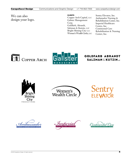#### We can also design your logo.

#### **CLIENTS**

Copper Arch Capital, LLC Galster Management Corp. Goldfarb, Abrandt, Salzman & Kutzin, LLP Bright Shining City LLC Women's Wealth Circle, LLC Sentry Elevator, Inc. Ambassador Nursing & Rehabilitation Center, Inc. Imperial Healthcare Centre, Inc. Continental Care Rehabilitation & Nursing Center, Inc.





**GOLDFARB ABRANDT SALZMAN & KUTZINUP** 





**Sentry**<br>ELEVATOR

Imperia

ontinental (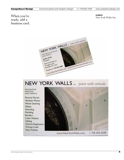#### When you're ready, add a business card.

**CLIENTS** New York Walls, Inc.



### NEW YORK WALLS. Inc. paint with attitude

**DECORATIVE PAINTING** AND MURALS:

**Pictoral Murals** Venetian Plaster **Wood Graining** Glazes **Stenciling** Marbling **Borders Color Washes** Gilding **Historic Replication Trompe L'oeil Faux Finishes** 



| 718 302-0280 www.NewYorkWalls.com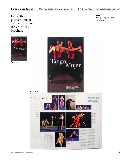Later, the postcard image can be placed on the cover of a brochure.

lango Mujer

Postcard



Brochure



client TangoMujer dance company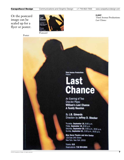Or the postcard image can be scaled up for a flyer or poster.

Poster



client Third Avenue Productions: *Last Chance*

**Third Avenue Productions Presents** 

# Last<br>Chance

An Evening of Two **One-Act Plays: William's Last Chance A Family Reunion** 

By J.B. Edwards Direction by Jeffrey D. Stocker

Thursday, September 18, 8:00 p.m. Friday, September 19, 8:00 p.m. Saturday, September 20, 3:00 p.m., 8:00 p.m. Sunday, September 21, 3:00 p.m., 8:00 p.m.

**Blue Heron Theatre and Arts Center** 123 East 24th Street New York, New York 10010

**Tickets: \$15** Reservations: 718 904-2866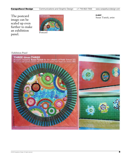The postcard image can be scaled up even further to make an exhibition panel.



Postcard

client Susan Tunick, artist

#### Exhibition Panel

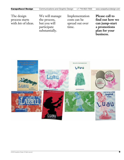The design process starts with *lots* of ideas.

We will manage the process, but you will participate substantially.

Implementation costs can be spread out over time.

**Please call to find out how we can jump-start a promotions plan for your business.**